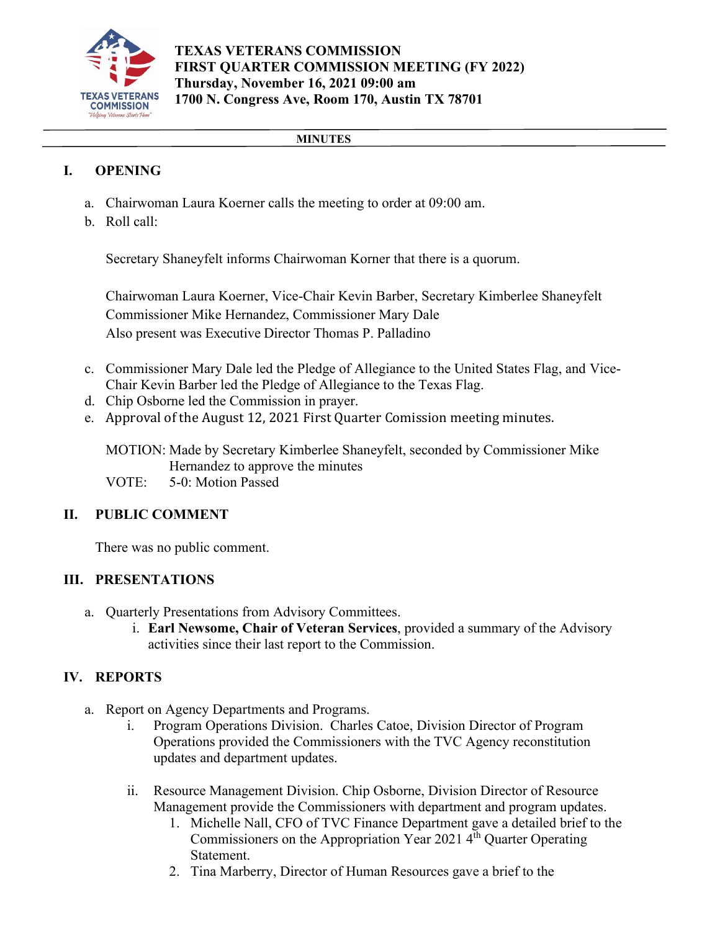

### **MINUTES**

# **I. OPENING**

- a. Chairwoman Laura Koerner calls the meeting to order at 09:00 am.
- b. Roll call:

Secretary Shaneyfelt informs Chairwoman Korner that there is a quorum.

Chairwoman Laura Koerner, Vice-Chair Kevin Barber, Secretary Kimberlee Shaneyfelt Commissioner Mike Hernandez, Commissioner Mary Dale Also present was Executive Director Thomas P. Palladino

- c. Commissioner Mary Dale led the Pledge of Allegiance to the United States Flag, and Vice-Chair Kevin Barber led the Pledge of Allegiance to the Texas Flag.
- d. Chip Osborne led the Commission in prayer.
- e. Approval of the August 12, 2021 First Quarter Comission meeting minutes.

MOTION: Made by Secretary Kimberlee Shaneyfelt, seconded by Commissioner Mike Hernandez to approve the minutes

VOTE: 5-0: Motion Passed

## **II. PUBLIC COMMENT**

There was no public comment.

## **III. PRESENTATIONS**

- a. Quarterly Presentations from Advisory Committees.
	- i. **Earl Newsome, Chair of Veteran Services**, provided a summary of the Advisory activities since their last report to the Commission.

## **IV. REPORTS**

- a. Report on Agency Departments and Programs.
	- i. Program Operations Division. Charles Catoe, Division Director of Program Operations provided the Commissioners with the TVC Agency reconstitution updates and department updates.
	- ii. Resource Management Division. Chip Osborne, Division Director of Resource Management provide the Commissioners with department and program updates.
		- 1. Michelle Nall, CFO of TVC Finance Department gave a detailed brief to the Commissioners on the Appropriation Year 2021 4<sup>th</sup> Quarter Operating Statement.
		- 2. Tina Marberry, Director of Human Resources gave a brief to the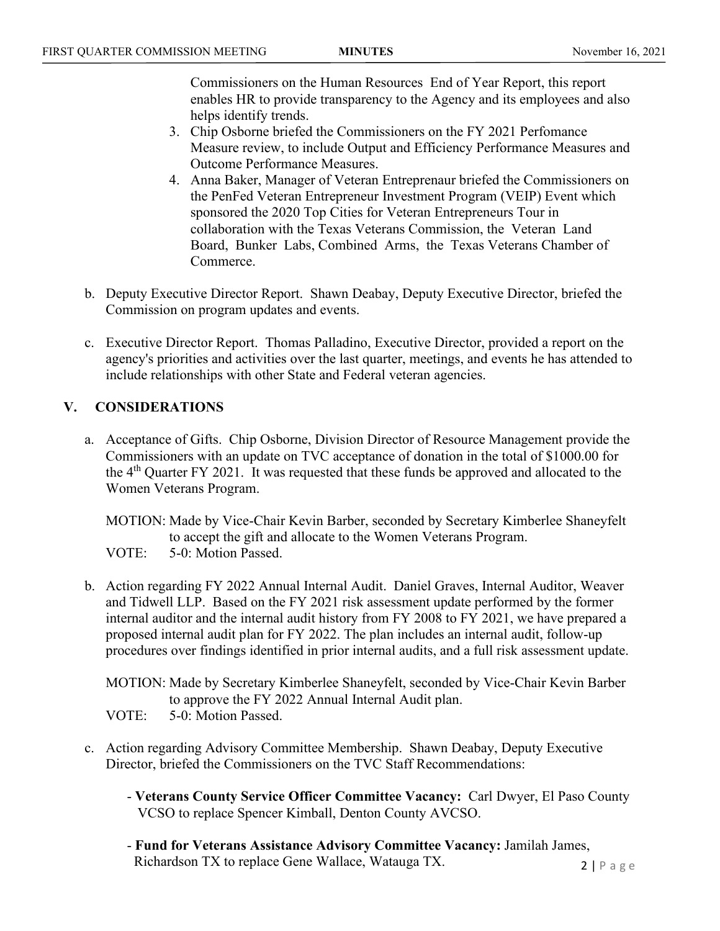Commissioners on the Human Resources End of Year Report, this report enables HR to provide transparency to the Agency and its employees and also helps identify trends.

- 3. Chip Osborne briefed the Commissioners on the FY 2021 Perfomance Measure review, to include Output and Efficiency Performance Measures and Outcome Performance Measures.
- 4. Anna Baker, Manager of Veteran Entreprenaur briefed the Commissioners on the PenFed Veteran Entrepreneur Investment Program (VEIP) Event which sponsored the 2020 Top Cities for Veteran Entrepreneurs Tour in collaboration with the Texas Veterans Commission, the Veteran Land Board, Bunker Labs, Combined Arms, the Texas Veterans Chamber of Commerce.
- b. Deputy Executive Director Report. Shawn Deabay, Deputy Executive Director, briefed the Commission on program updates and events.
- c. Executive Director Report. Thomas Palladino, Executive Director, provided a report on the agency's priorities and activities over the last quarter, meetings, and events he has attended to include relationships with other State and Federal veteran agencies.

## **V. CONSIDERATIONS**

a. Acceptance of Gifts. Chip Osborne, Division Director of Resource Management provide the Commissioners with an update on TVC acceptance of donation in the total of \$1000.00 for the  $4<sup>th</sup>$  Quarter FY 2021. It was requested that these funds be approved and allocated to the Women Veterans Program.

MOTION: Made by Vice-Chair Kevin Barber, seconded by Secretary Kimberlee Shaneyfelt to accept the gift and allocate to the Women Veterans Program. VOTE: 5-0: Motion Passed.

b. Action regarding FY 2022 Annual Internal Audit. Daniel Graves, Internal Auditor, Weaver and Tidwell LLP. Based on the FY 2021 risk assessment update performed by the former internal auditor and the internal audit history from FY 2008 to FY 2021, we have prepared a proposed internal audit plan for FY 2022. The plan includes an internal audit, follow-up procedures over findings identified in prior internal audits, and a full risk assessment update.

MOTION: Made by Secretary Kimberlee Shaneyfelt, seconded by Vice-Chair Kevin Barber to approve the FY 2022 Annual Internal Audit plan.

VOTE: 5-0: Motion Passed.

- c. Action regarding Advisory Committee Membership. Shawn Deabay, Deputy Executive Director, briefed the Commissioners on the TVC Staff Recommendations:
	- **Veterans County Service Officer Committee Vacancy:** Carl Dwyer, El Paso County VCSO to replace Spencer Kimball, Denton County AVCSO.
	- **Fund for Veterans Assistance Advisory Committee Vacancy:** Jamilah James, Richardson TX to replace Gene Wallace, Watauga TX.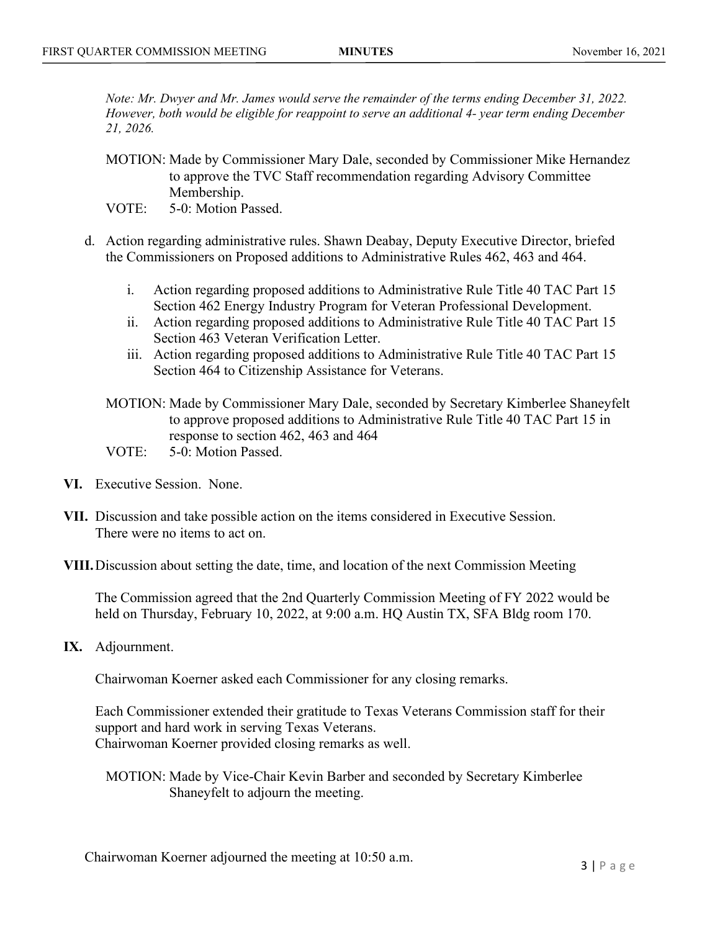*Note: Mr. Dwyer and Mr. James would serve the remainder of the terms ending December 31, 2022. However, both would be eligible for reappoint to serve an additional 4- year term ending December 21, 2026.*

- MOTION: Made by Commissioner Mary Dale, seconded by Commissioner Mike Hernandez to approve the TVC Staff recommendation regarding Advisory Committee Membership.
- VOTE: 5-0: Motion Passed.
- d. Action regarding administrative rules. Shawn Deabay, Deputy Executive Director, briefed the Commissioners on Proposed additions to Administrative Rules 462, 463 and 464.
	- i. Action regarding proposed additions to Administrative Rule Title 40 TAC Part 15 Section 462 Energy Industry Program for Veteran Professional Development.
	- ii. Action regarding proposed additions to Administrative Rule Title 40 TAC Part 15 Section 463 Veteran Verification Letter.
	- iii. Action regarding proposed additions to Administrative Rule Title 40 TAC Part 15 Section 464 to Citizenship Assistance for Veterans.
	- MOTION: Made by Commissioner Mary Dale, seconded by Secretary Kimberlee Shaneyfelt to approve proposed additions to Administrative Rule Title 40 TAC Part 15 in response to section 462, 463 and 464
	- VOTE: 5-0: Motion Passed.
- **VI.** Executive Session. None.
- **VII.** Discussion and take possible action on the items considered in Executive Session. There were no items to act on.
- **VIII.**Discussion about setting the date, time, and location of the next Commission Meeting

The Commission agreed that the 2nd Quarterly Commission Meeting of FY 2022 would be held on Thursday, February 10, 2022, at 9:00 a.m. HQ Austin TX, SFA Bldg room 170.

**IX.** Adjournment.

Chairwoman Koerner asked each Commissioner for any closing remarks.

Each Commissioner extended their gratitude to Texas Veterans Commission staff for their support and hard work in serving Texas Veterans. Chairwoman Koerner provided closing remarks as well.

MOTION: Made by Vice-Chair Kevin Barber and seconded by Secretary Kimberlee Shaneyfelt to adjourn the meeting.